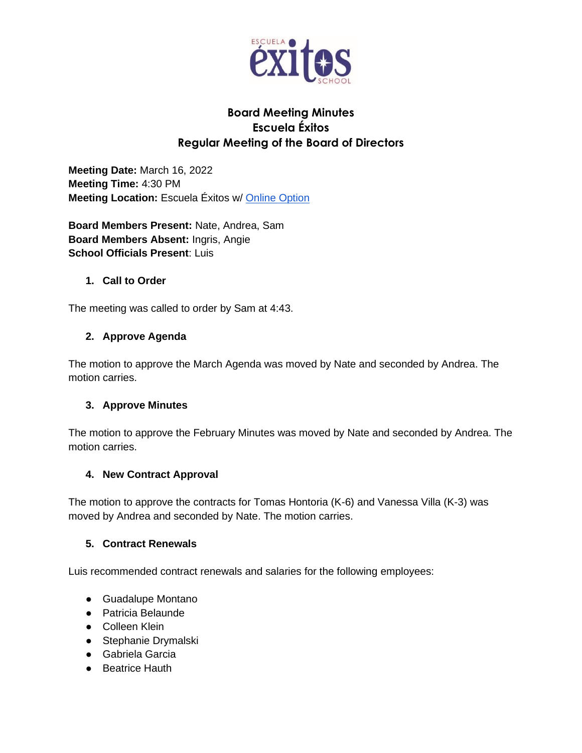

# **Board Meeting Minutes Escuela Éxitos Regular Meeting of the Board of Directors**

**Meeting Date:** March 16, 2022 **Meeting Time:** 4:30 PM **Meeting Location: Escuela Éxitos w/ [Online Option](https://meet.google.com/ihk-ftrr-dut?hs=122&authuser=1)** 

**Board Members Present:** Nate, Andrea, Sam **Board Members Absent:** Ingris, Angie **School Officials Present**: Luis

### **1. Call to Order**

The meeting was called to order by Sam at 4:43.

### **2. Approve Agenda**

The motion to approve the March Agenda was moved by Nate and seconded by Andrea. The motion carries.

# **3. Approve Minutes**

The motion to approve the February Minutes was moved by Nate and seconded by Andrea. The motion carries.

### **4. New Contract Approval**

The motion to approve the contracts for Tomas Hontoria (K-6) and Vanessa Villa (K-3) was moved by Andrea and seconded by Nate. The motion carries.

### **5. Contract Renewals**

Luis recommended contract renewals and salaries for the following employees:

- Guadalupe Montano
- Patricia Belaunde
- Colleen Klein
- Stephanie Drymalski
- Gabriela Garcia
- Beatrice Hauth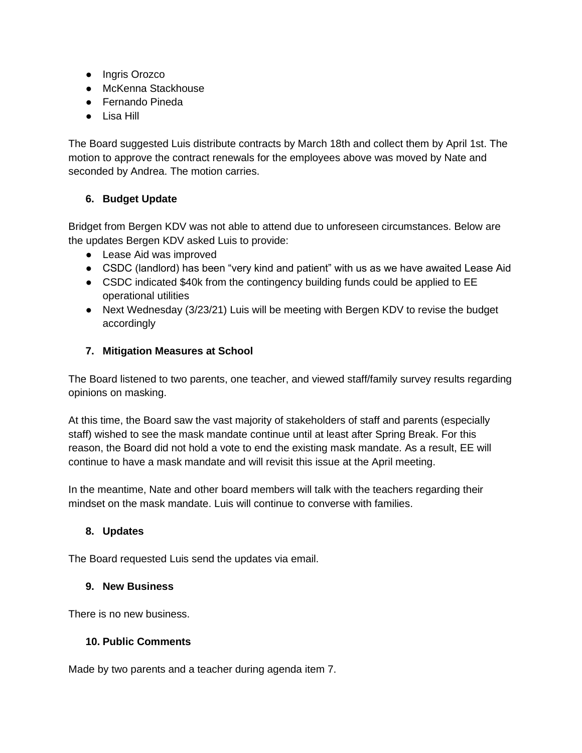- Ingris Orozco
- McKenna Stackhouse
- Fernando Pineda
- Lisa Hill

The Board suggested Luis distribute contracts by March 18th and collect them by April 1st. The motion to approve the contract renewals for the employees above was moved by Nate and seconded by Andrea. The motion carries.

### **6. Budget Update**

Bridget from Bergen KDV was not able to attend due to unforeseen circumstances. Below are the updates Bergen KDV asked Luis to provide:

- Lease Aid was improved
- CSDC (landlord) has been "very kind and patient" with us as we have awaited Lease Aid
- CSDC indicated \$40k from the contingency building funds could be applied to EE operational utilities
- Next Wednesday (3/23/21) Luis will be meeting with Bergen KDV to revise the budget accordingly

### **7. Mitigation Measures at School**

The Board listened to two parents, one teacher, and viewed staff/family survey results regarding opinions on masking.

At this time, the Board saw the vast majority of stakeholders of staff and parents (especially staff) wished to see the mask mandate continue until at least after Spring Break. For this reason, the Board did not hold a vote to end the existing mask mandate. As a result, EE will continue to have a mask mandate and will revisit this issue at the April meeting.

In the meantime, Nate and other board members will talk with the teachers regarding their mindset on the mask mandate. Luis will continue to converse with families.

### **8. Updates**

The Board requested Luis send the updates via email.

### **9. New Business**

There is no new business.

### **10. Public Comments**

Made by two parents and a teacher during agenda item 7.